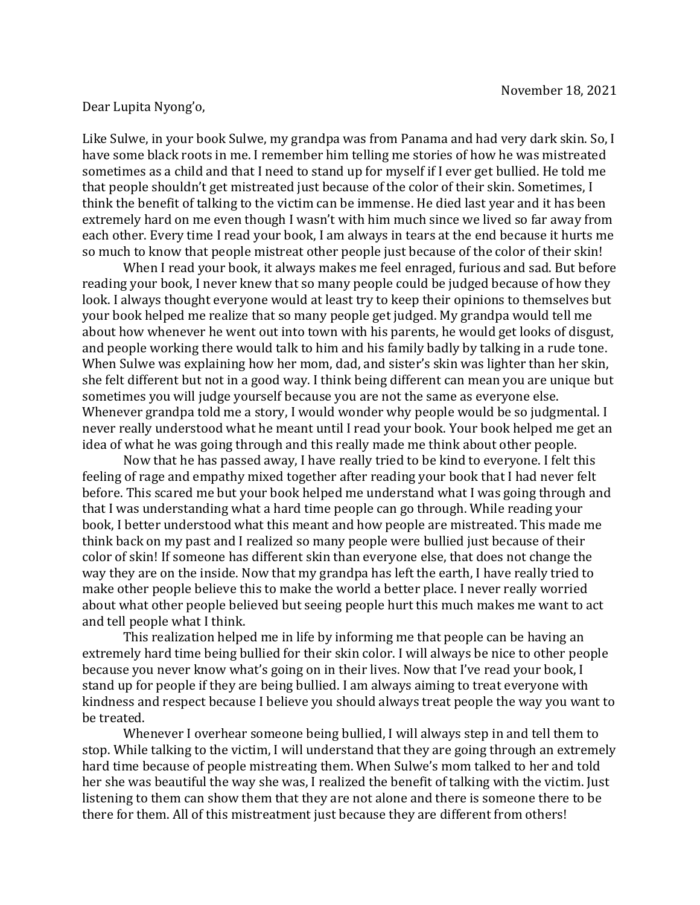## Dear Lupita Nyong'o,

Like Sulwe, in your book Sulwe, my grandpa was from Panama and had very dark skin. So, I have some black roots in me. I remember him telling me stories of how he was mistreated sometimes as a child and that I need to stand up for myself if I ever get bullied. He told me that people shouldn't get mistreated just because of the color of their skin. Sometimes, I think the benefit of talking to the victim can be immense. He died last year and it has been extremely hard on me even though I wasn't with him much since we lived so far away from each other. Every time I read your book, I am always in tears at the end because it hurts me so much to know that people mistreat other people just because of the color of their skin!

When I read your book, it always makes me feel enraged, furious and sad. But before reading your book, I never knew that so many people could be judged because of how they look. I always thought everyone would at least try to keep their opinions to themselves but your book helped me realize that so many people get judged. My grandpa would tell me about how whenever he went out into town with his parents, he would get looks of disgust, and people working there would talk to him and his family badly by talking in a rude tone. When Sulwe was explaining how her mom, dad, and sister's skin was lighter than her skin, she felt different but not in a good way. I think being different can mean you are unique but sometimes you will judge yourself because you are not the same as everyone else. Whenever grandpa told me a story, I would wonder why people would be so judgmental. I never really understood what he meant until I read your book. Your book helped me get an idea of what he was going through and this really made me think about other people.

Now that he has passed away, I have really tried to be kind to everyone. I felt this feeling of rage and empathy mixed together after reading your book that I had never felt before. This scared me but your book helped me understand what I was going through and that I was understanding what a hard time people can go through. While reading your book, I better understood what this meant and how people are mistreated. This made me think back on my past and I realized so many people were bullied just because of their color of skin! If someone has different skin than everyone else, that does not change the way they are on the inside. Now that my grandpa has left the earth, I have really tried to make other people believe this to make the world a better place. I never really worried about what other people believed but seeing people hurt this much makes me want to act and tell people what I think.

This realization helped me in life by informing me that people can be having an extremely hard time being bullied for their skin color. I will always be nice to other people because you never know what's going on in their lives. Now that I've read your book, I stand up for people if they are being bullied. I am always aiming to treat everyone with kindness and respect because I believe you should always treat people the way you want to be treated.

Whenever I overhear someone being bullied, I will always step in and tell them to stop. While talking to the victim, I will understand that they are going through an extremely hard time because of people mistreating them. When Sulwe's mom talked to her and told her she was beautiful the way she was, I realized the benefit of talking with the victim. Just listening to them can show them that they are not alone and there is someone there to be there for them. All of this mistreatment just because they are different from others!